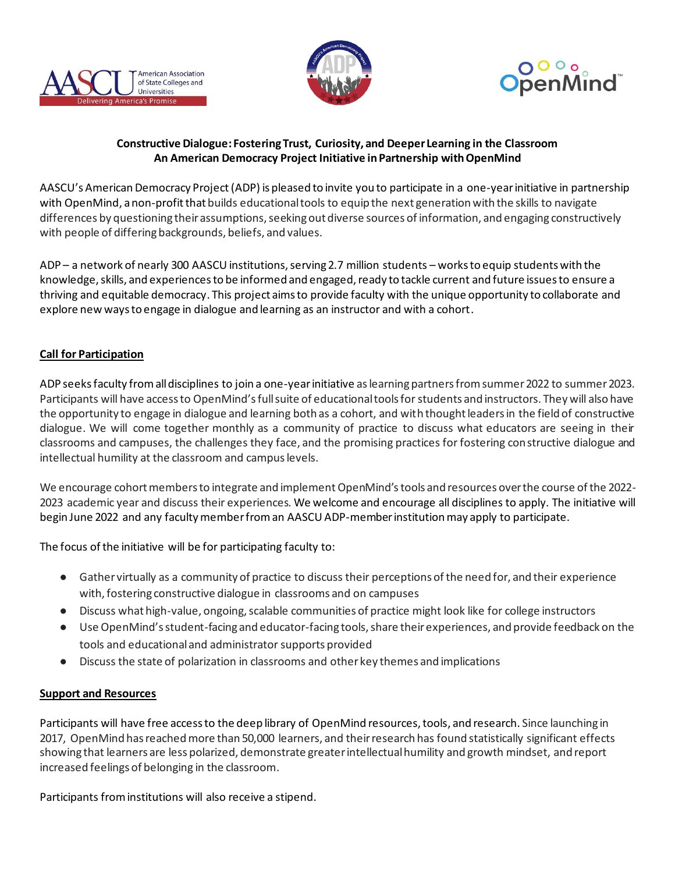





## **Constructive Dialogue: Fostering Trust, Curiosity, and Deeper Learning in the Classroom An American Democracy Project Initiative in Partnership withOpenMind**

AASCU's American Democracy Project(ADP) is pleased to invite you to participate in a one-year initiative in partnership with OpenMind, anon-profitthat builds educational tools to equip the next generation with the skills to navigate differences by questioning their assumptions, seeking out diverse sources of information, and engaging constructively with people of differing backgrounds, beliefs, and values.

ADP – a network of nearly 300 AASCU institutions, serving 2.7 million students – works to equip students with the knowledge, skills, and experiences to be informed and engaged, ready to tackle current and future issues to ensure a thriving and equitable democracy. This project aims to provide faculty with the unique opportunity to collaborate and explore new ways to engage in dialogue and learning as an instructor and with a cohort.

# **Call for Participation**

ADP seeks faculty from all disciplines to join a one-year initiative as learning partners from summer 2022 to summer 2023. Participants will have access to OpenMind's full suite of educational tools for students and instructors. They will also have the opportunity to engage in dialogue and learning both as a cohort, and with thought leaders in the field of constructive dialogue. We will come together monthly as a community of practice to discuss what educators are seeing in their classrooms and campuses, the challenges they face, and the promising practices for fostering constructive dialogue and intellectual humility at the classroom and campus levels.

We encourage cohort members to integrate and implement OpenMind'stools and resources over the course of the 2022- 2023 academic year and discuss their experiences. We welcome and encourage all disciplines to apply. The initiative will begin June 2022 and any faculty member from an AASCU ADP-member institution may apply to participate.

The focus of the initiative will be for participating faculty to:

- Gather virtually as a community of practice to discuss their perceptions of the need for, and their experience with, fostering constructive dialogue in classrooms and on campuses
- Discuss what high-value, ongoing, scalable communities of practice might look like for college instructors
- Use OpenMind's student-facing and educator-facing tools, share their experiences, and provide feedback on the tools and educational and administratorsupports provided
- Discuss the state of polarization in classrooms and other key themes and implications

## **Support and Resources**

Participants will have free access to the deep library of OpenMind resources, tools, and research. Since launching in 2017, OpenMind has reached more than 50,000 learners, and their research has found statistically significant effects showing that learners are less polarized, demonstrate greater intellectual humility and growth mindset, and report increased feelings of belonging in the classroom.

Participants from institutions will also receive a stipend.